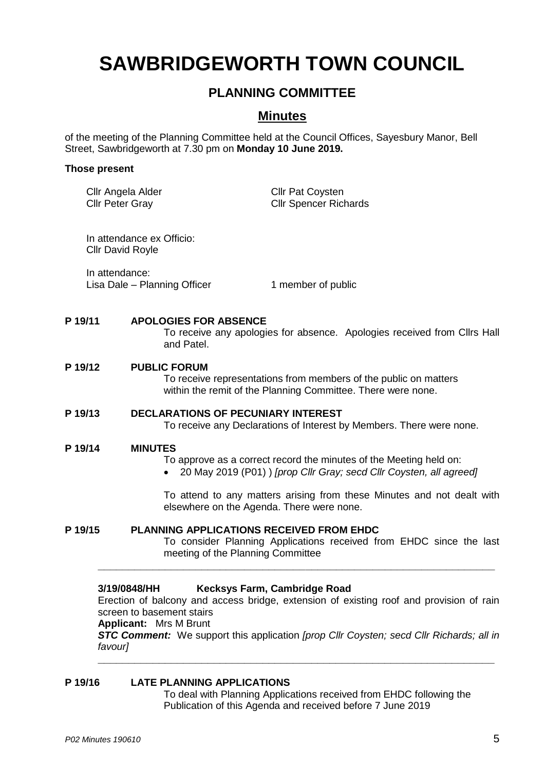# **SAWBRIDGEWORTH TOWN COUNCIL**

# **PLANNING COMMITTEE**

# **Minutes**

of the meeting of the Planning Committee held at the Council Offices, Sayesbury Manor, Bell Street, Sawbridgeworth at 7.30 pm on **Monday 10 June 2019.**

#### **Those present**

|                                                                                                                                         | Cllr Angela Alder<br><b>Cllr Peter Gray</b>          | <b>Cllr Pat Coysten</b><br><b>Cllr Spencer Richards</b>                                                                                                                                                                                                          |  |
|-----------------------------------------------------------------------------------------------------------------------------------------|------------------------------------------------------|------------------------------------------------------------------------------------------------------------------------------------------------------------------------------------------------------------------------------------------------------------------|--|
|                                                                                                                                         | In attendance ex Officio:<br><b>Cllr David Royle</b> |                                                                                                                                                                                                                                                                  |  |
|                                                                                                                                         | In attendance:<br>Lisa Dale - Planning Officer       | 1 member of public                                                                                                                                                                                                                                               |  |
| P 19/11<br><b>APOLOGIES FOR ABSENCE</b><br>To receive any apologies for absence. Apologies received from Cllrs Hall<br>and Patel.       |                                                      |                                                                                                                                                                                                                                                                  |  |
| P 19/12                                                                                                                                 | <b>PUBLIC FORUM</b>                                  | To receive representations from members of the public on matters<br>within the remit of the Planning Committee. There were none.                                                                                                                                 |  |
| P 19/13                                                                                                                                 |                                                      | <b>DECLARATIONS OF PECUNIARY INTEREST</b><br>To receive any Declarations of Interest by Members. There were none.                                                                                                                                                |  |
| P 19/14                                                                                                                                 | <b>MINUTES</b>                                       | To approve as a correct record the minutes of the Meeting held on:<br>20 May 2019 (P01) ) [prop Cllr Gray; secd Cllr Coysten, all agreed]<br>To attend to any matters arising from these Minutes and not dealt with<br>elsewhere on the Agenda. There were none. |  |
| P 19/15<br>PLANNING APPLICATIONS RECEIVED FROM EHDC<br>meeting of the Planning Committee                                                |                                                      | To consider Planning Applications received from EHDC since the last                                                                                                                                                                                              |  |
| Kecksys Farm, Cambridge Road<br>3/19/0848/HH<br>Frection of halcony and access bridge, extension of existing roof and provision of rain |                                                      |                                                                                                                                                                                                                                                                  |  |

Erection of balcony and access bridge, extension of existing roof and provision of rain screen to basement stairs

**\_\_\_\_\_\_\_\_\_\_\_\_\_\_\_\_\_\_\_\_\_\_\_\_\_\_\_\_\_\_\_\_\_\_\_\_\_\_\_\_\_\_\_\_\_\_\_\_\_\_\_\_\_\_\_\_\_\_\_\_\_\_\_\_\_**

**Applicant:** Mrs M Brunt *STC Comment:* We support this application *[prop Cllr Coysten; secd Cllr Richards; all in* 

*favour]*

# **P 19/16 LATE PLANNING APPLICATIONS**

To deal with Planning Applications received from EHDC following the Publication of this Agenda and received before 7 June 2019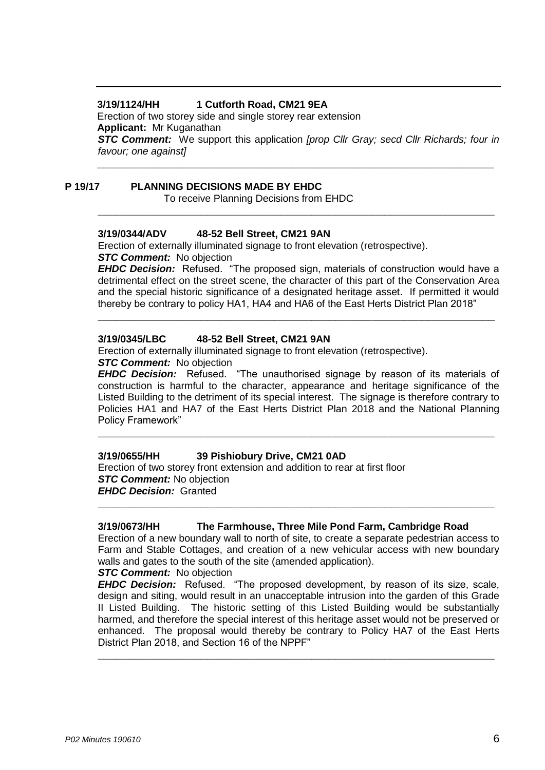# **3/19/1124/HH 1 Cutforth Road, CM21 9EA**

Erection of two storey side and single storey rear extension **Applicant:** Mr Kuganathan

*STC Comment:* We support this application *[prop Cllr Gray; secd Cllr Richards; four in favour; one against]* **\_\_\_\_\_\_\_\_\_\_\_\_\_\_\_\_\_\_\_\_\_\_\_\_\_\_\_\_\_\_\_\_\_\_\_\_\_\_\_\_\_\_\_\_\_\_\_\_\_\_\_\_\_\_\_\_\_\_\_\_\_\_\_\_\_**

**\_\_\_\_\_\_\_\_\_\_\_\_\_\_\_\_\_\_\_\_\_\_\_\_\_\_\_\_\_\_\_\_\_\_\_\_\_\_\_\_\_\_\_\_\_\_\_\_\_\_\_\_\_\_\_\_\_\_\_\_\_\_\_\_\_**

### **P 19/17 PLANNING DECISIONS MADE BY EHDC**

To receive Planning Decisions from EHDC

#### **3/19/0344/ADV 48-52 Bell Street, CM21 9AN**

Erection of externally illuminated signage to front elevation (retrospective). **STC Comment:** No objection

*EHDC Decision:* Refused. "The proposed sign, materials of construction would have a detrimental effect on the street scene, the character of this part of the Conservation Area and the special historic significance of a designated heritage asset. If permitted it would thereby be contrary to policy HA1, HA4 and HA6 of the East Herts District Plan 2018"

**\_\_\_\_\_\_\_\_\_\_\_\_\_\_\_\_\_\_\_\_\_\_\_\_\_\_\_\_\_\_\_\_\_\_\_\_\_\_\_\_\_\_\_\_\_\_\_\_\_\_\_\_\_\_\_\_\_\_\_\_\_\_\_\_\_**

#### **3/19/0345/LBC 48-52 Bell Street, CM21 9AN**

Erection of externally illuminated signage to front elevation (retrospective). **STC Comment:** No objection

**EHDC Decision:** Refused. "The unauthorised signage by reason of its materials of construction is harmful to the character, appearance and heritage significance of the Listed Building to the detriment of its special interest. The signage is therefore contrary to Policies HA1 and HA7 of the East Herts District Plan 2018 and the National Planning Policy Framework"

**\_\_\_\_\_\_\_\_\_\_\_\_\_\_\_\_\_\_\_\_\_\_\_\_\_\_\_\_\_\_\_\_\_\_\_\_\_\_\_\_\_\_\_\_\_\_\_\_\_\_\_\_\_\_\_\_\_\_\_\_\_\_\_\_\_**

#### **3/19/0655/HH 39 Pishiobury Drive, CM21 0AD**

Erection of two storey front extension and addition to rear at first floor *STC Comment:* No objection *EHDC Decision:* Granted

#### **3/19/0673/HH The Farmhouse, Three Mile Pond Farm, Cambridge Road**

Erection of a new boundary wall to north of site, to create a separate pedestrian access to Farm and Stable Cottages, and creation of a new vehicular access with new boundary walls and gates to the south of the site (amended application).

**\_\_\_\_\_\_\_\_\_\_\_\_\_\_\_\_\_\_\_\_\_\_\_\_\_\_\_\_\_\_\_\_\_\_\_\_\_\_\_\_\_\_\_\_\_\_\_\_\_\_\_\_\_\_\_\_\_\_\_\_\_\_\_\_\_**

# *STC Comment:* No objection

*EHDC Decision:* Refused. "The proposed development, by reason of its size, scale, design and siting, would result in an unacceptable intrusion into the garden of this Grade II Listed Building. The historic setting of this Listed Building would be substantially harmed, and therefore the special interest of this heritage asset would not be preserved or enhanced. The proposal would thereby be contrary to Policy HA7 of the East Herts District Plan 2018, and Section 16 of the NPPF"

**\_\_\_\_\_\_\_\_\_\_\_\_\_\_\_\_\_\_\_\_\_\_\_\_\_\_\_\_\_\_\_\_\_\_\_\_\_\_\_\_\_\_\_\_\_\_\_\_\_\_\_\_\_\_\_\_\_\_\_\_\_\_\_\_\_**